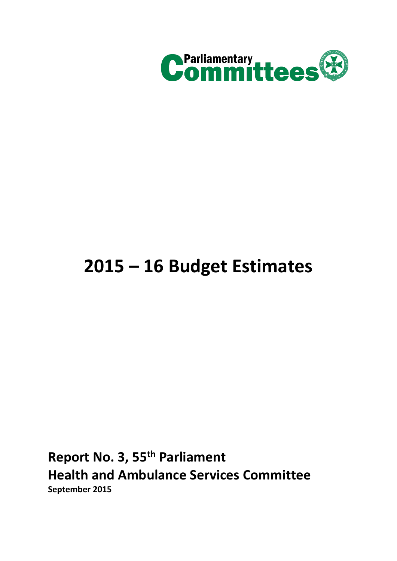

# **2015 – 16 Budget Estimates**

**Report No. 3, 55th Parliament Health and Ambulance Services Committee September 2015**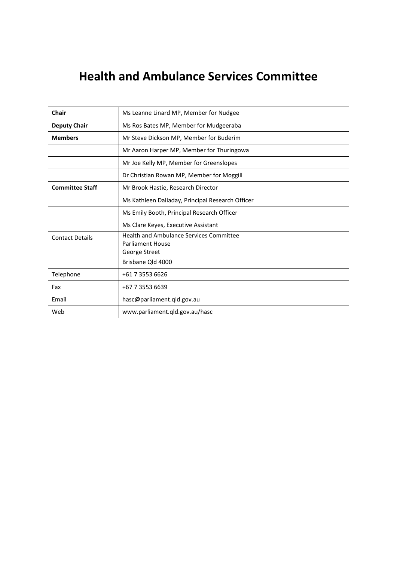# **Health and Ambulance Services Committee**

| Chair                  | Ms Leanne Linard MP, Member for Nudgee                                                                   |  |  |  |
|------------------------|----------------------------------------------------------------------------------------------------------|--|--|--|
| <b>Deputy Chair</b>    | Ms Ros Bates MP, Member for Mudgeeraba                                                                   |  |  |  |
| <b>Members</b>         | Mr Steve Dickson MP, Member for Buderim                                                                  |  |  |  |
|                        | Mr Aaron Harper MP, Member for Thuringowa                                                                |  |  |  |
|                        | Mr Joe Kelly MP, Member for Greenslopes                                                                  |  |  |  |
|                        | Dr Christian Rowan MP, Member for Moggill                                                                |  |  |  |
| <b>Committee Staff</b> | Mr Brook Hastie, Research Director                                                                       |  |  |  |
|                        | Ms Kathleen Dalladay, Principal Research Officer                                                         |  |  |  |
|                        | Ms Emily Booth, Principal Research Officer                                                               |  |  |  |
|                        | Ms Clare Keyes, Executive Assistant                                                                      |  |  |  |
| <b>Contact Details</b> | <b>Health and Ambulance Services Committee</b><br>Parliament House<br>George Street<br>Brisbane Old 4000 |  |  |  |
| Telephone              | +61 7 3553 6626                                                                                          |  |  |  |
| Fax                    | +67 7 3553 6639                                                                                          |  |  |  |
| Email                  | hasc@parliament.qld.gov.au                                                                               |  |  |  |
| Web                    | www.parliament.qld.gov.au/hasc                                                                           |  |  |  |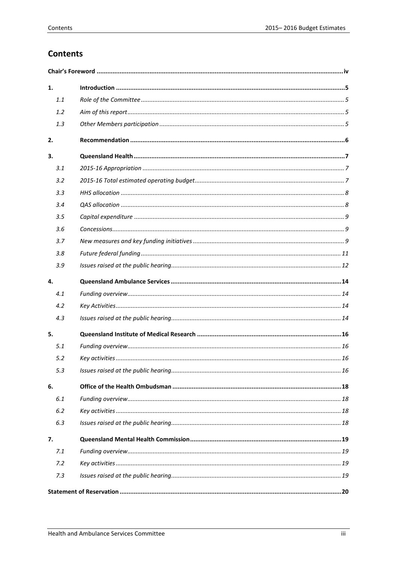# **Contents**

| 1.  |  |  |  |
|-----|--|--|--|
| 1.1 |  |  |  |
| 1.2 |  |  |  |
| 1.3 |  |  |  |
| 2.  |  |  |  |
| 3.  |  |  |  |
| 3.1 |  |  |  |
| 3.2 |  |  |  |
| 3.3 |  |  |  |
| 3.4 |  |  |  |
| 3.5 |  |  |  |
| 3.6 |  |  |  |
| 3.7 |  |  |  |
| 3.8 |  |  |  |
| 3.9 |  |  |  |
| 4.  |  |  |  |
| 4.1 |  |  |  |
| 4.2 |  |  |  |
| 4.3 |  |  |  |
| 5.  |  |  |  |
| 5.1 |  |  |  |
| 5.2 |  |  |  |
| 5.3 |  |  |  |
| 6.  |  |  |  |
| 6.1 |  |  |  |
| 6.2 |  |  |  |
| 6.3 |  |  |  |
| 7.  |  |  |  |
| 7.1 |  |  |  |
| 7.2 |  |  |  |
| 7.3 |  |  |  |
|     |  |  |  |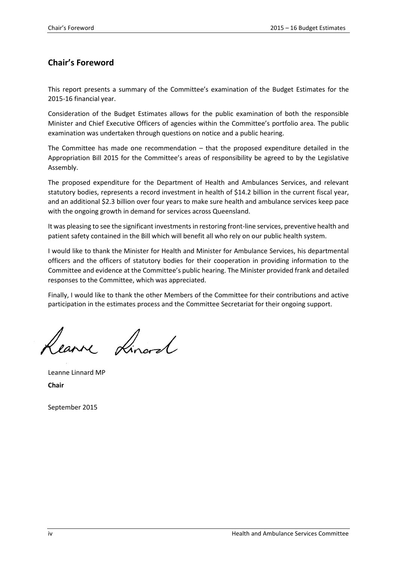# <span id="page-3-0"></span>**Chair's Foreword**

This report presents a summary of the Committee's examination of the Budget Estimates for the 2015-16 financial year.

Consideration of the Budget Estimates allows for the public examination of both the responsible Minister and Chief Executive Officers of agencies within the Committee's portfolio area. The public examination was undertaken through questions on notice and a public hearing.

The Committee has made one recommendation  $-$  that the proposed expenditure detailed in the Appropriation Bill 2015 for the Committee's areas of responsibility be agreed to by the Legislative Assembly.

The proposed expenditure for the Department of Health and Ambulances Services, and relevant statutory bodies, represents a record investment in health of \$14.2 billion in the current fiscal year, and an additional \$2.3 billion over four years to make sure health and ambulance services keep pace with the ongoing growth in demand for services across Queensland.

It was pleasing to see the significant investments in restoring front-line services, preventive health and patient safety contained in the Bill which will benefit all who rely on our public health system.

I would like to thank the Minister for Health and Minister for Ambulance Services, his departmental officers and the officers of statutory bodies for their cooperation in providing information to the Committee and evidence at the Committee's public hearing. The Minister provided frank and detailed responses to the Committee, which was appreciated.

Finally, I would like to thank the other Members of the Committee for their contributions and active participation in the estimates process and the Committee Secretariat for their ongoing support.

Rearne Lincod

Leanne Linnard MP **Chair**

September 2015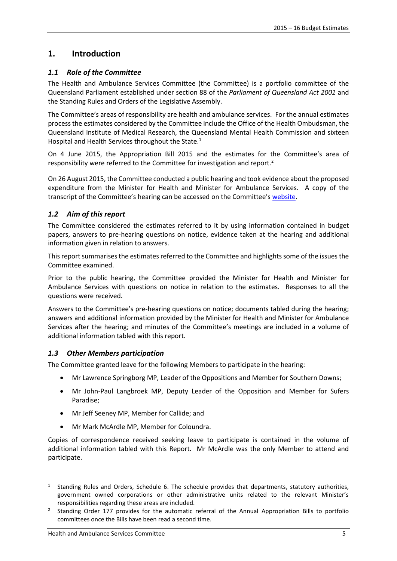# <span id="page-4-0"></span>**1. Introduction**

#### <span id="page-4-1"></span>*1.1 Role of the Committee*

The Health and Ambulance Services Committee (the Committee) is a portfolio committee of the Queensland Parliament established under section 88 of the *Parliament of Queensland Act 2001* and the Standing Rules and Orders of the Legislative Assembly.

The Committee's areas of responsibility are health and ambulance services. For the annual estimates process the estimates considered by the Committee include the Office of the Health Ombudsman, the Queensland Institute of Medical Research, the Queensland Mental Health Commission and sixteen Hospital and Health Services throughout the State.<sup>1</sup>

On 4 June 2015, the Appropriation Bill 2015 and the estimates for the Committee's area of responsibility were referred to the Committee for investigation and report.<sup>2</sup>

On 26 August 2015, the Committee conducted a public hearing and took evidence about the proposed expenditure from the Minister for Health and Minister for Ambulance Services. A copy of the transcript of the Committee's hearing can be accessed on the Committee's [website.](http://www.parliament.qld.gov.au/work-of-committees/committees/HASC/inquiries/current-inquiries/Estimates2015)

#### <span id="page-4-2"></span>*1.2 Aim of this report*

The Committee considered the estimates referred to it by using information contained in budget papers, answers to pre-hearing questions on notice, evidence taken at the hearing and additional information given in relation to answers.

This report summarises the estimates referred to the Committee and highlights some of the issues the Committee examined.

Prior to the public hearing, the Committee provided the Minister for Health and Minister for Ambulance Services with questions on notice in relation to the estimates. Responses to all the questions were received.

Answers to the Committee's pre-hearing questions on notice; documents tabled during the hearing; answers and additional information provided by the Minister for Health and Minister for Ambulance Services after the hearing; and minutes of the Committee's meetings are included in a volume of additional information tabled with this report.

#### <span id="page-4-3"></span>*1.3 Other Members participation*

The Committee granted leave for the following Members to participate in the hearing:

- Mr Lawrence Springborg MP, Leader of the Oppositions and Member for Southern Downs;
- Mr John-Paul Langbroek MP, Deputy Leader of the Opposition and Member for Sufers Paradise;
- Mr Jeff Seeney MP, Member for Callide; and
- Mr Mark McArdle MP, Member for Coloundra.

Copies of correspondence received seeking leave to participate is contained in the volume of additional information tabled with this Report. Mr McArdle was the only Member to attend and participate.

<sup>1</sup> Standing Rules and Orders, Schedule 6. The schedule provides that departments, statutory authorities, government owned corporations or other administrative units related to the relevant Minister's responsibilities regarding these areas are included.

<sup>&</sup>lt;sup>2</sup> Standing Order 177 provides for the automatic referral of the Annual Appropriation Bills to portfolio committees once the Bills have been read a second time.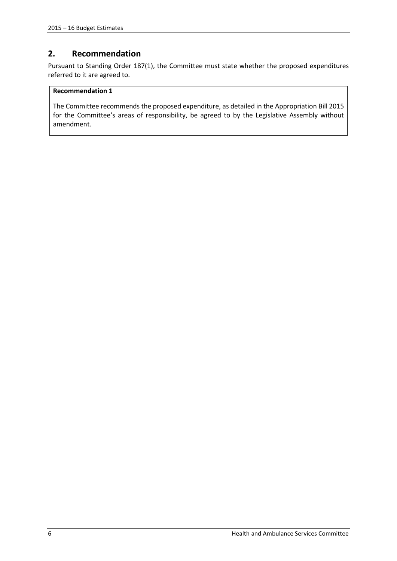# <span id="page-5-0"></span>**2. Recommendation**

Pursuant to Standing Order 187(1), the Committee must state whether the proposed expenditures referred to it are agreed to.

#### **Recommendation 1**

The Committee recommends the proposed expenditure, as detailed in the Appropriation Bill 2015 for the Committee's areas of responsibility, be agreed to by the Legislative Assembly without amendment.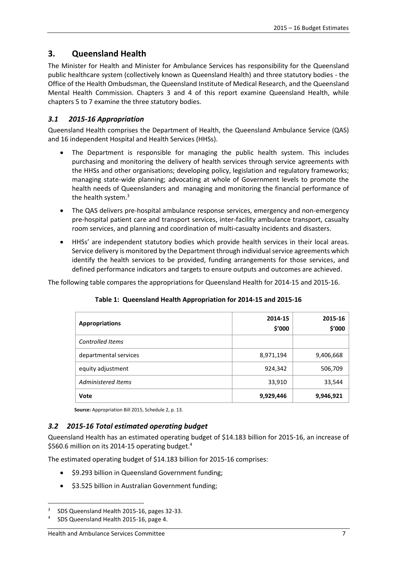# <span id="page-6-0"></span>**3. Queensland Health**

The Minister for Health and Minister for Ambulance Services has responsibility for the Queensland public healthcare system (collectively known as Queensland Health) and three statutory bodies - the Office of the Health Ombudsman, the Queensland Institute of Medical Research, and the Queensland Mental Health Commission. Chapters 3 and 4 of this report examine Queensland Health, while chapters 5 to 7 examine the three statutory bodies.

#### <span id="page-6-1"></span>*3.1 2015-16 Appropriation*

Queensland Health comprises the Department of Health, the Queensland Ambulance Service (QAS) and 16 independent Hospital and Health Services (HHSs).

- The Department is responsible for managing the public health system. This includes purchasing and monitoring the delivery of health services through service agreements with the HHSs and other organisations; developing policy, legislation and regulatory frameworks; managing state-wide planning; advocating at whole of Government levels to promote the health needs of Queenslanders and managing and monitoring the financial performance of the health system.<sup>3</sup>
- The QAS delivers pre-hospital ambulance response services, emergency and non-emergency pre-hospital patient care and transport services, inter-facility ambulance transport, casualty room services, and planning and coordination of multi-casualty incidents and disasters.
- HHSs' are independent statutory bodies which provide health services in their local areas. Service delivery is monitored by the Department through individual service agreements which identify the health services to be provided, funding arrangements for those services, and defined performance indicators and targets to ensure outputs and outcomes are achieved.

The following table compares the appropriations for Queensland Health for 2014-15 and 2015-16.

| <b>Appropriations</b>   | 2014-15<br>\$'000 | 2015-16<br>\$'000 |
|-------------------------|-------------------|-------------------|
| <b>Controlled Items</b> |                   |                   |
| departmental services   | 8,971,194         | 9,406,668         |
| equity adjustment       | 924,342           | 506,709           |
| Administered Items      | 33,910            | 33,544            |
| <b>Vote</b>             | 9,929,446         | 9,946,921         |

#### **Table 1: Queensland Health Appropriation for 2014-15 and 2015-16**

 **Source:** Appropriation Bill 2015, Schedule 2, p. 13.

#### <span id="page-6-2"></span>*3.2 2015-16 Total estimated operating budget*

Queensland Health has an estimated operating budget of \$14.183 billion for 2015-16, an increase of \$560.6 million on its 2014-15 operating budget.<sup>4</sup>

The estimated operating budget of \$14.183 billion for 2015-16 comprises:

- \$9.293 billion in Queensland Government funding;
- \$3.525 billion in Australian Government funding;

1

<sup>3</sup> SDS Queensland Health 2015-16, pages 32-33.

<sup>4</sup> SDS Queensland Health 2015-16, page 4.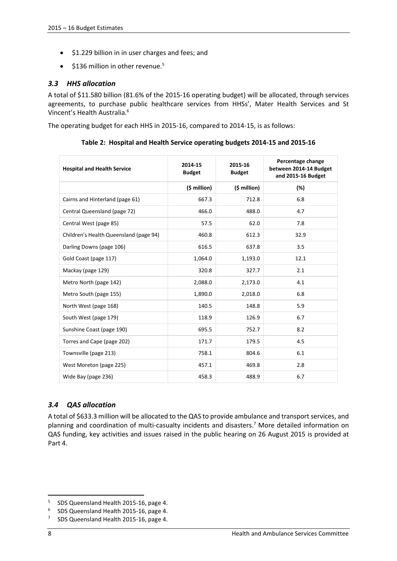- \$1.229 billion in in user charges and fees; and
- $\bullet$  \$136 million in other revenue.<sup>5</sup>

#### <span id="page-7-0"></span>*3.3 HHS allocation*

A total of \$11.580 billion (81.6% of the 2015-16 operating budget) will be allocated, through services agreements, to purchase public healthcare services from HHSs', Mater Health Services and St Vincent's Health Australia. 6

The operating budget for each HHS in 2015-16, compared to 2014-15, is as follows:

| <b>Hospital and Health Service</b>     | 2014-15<br><b>Budget</b> | 2015-16<br><b>Budget</b> | Percentage change<br>between 2014-14 Budget<br>and 2015-16 Budget |
|----------------------------------------|--------------------------|--------------------------|-------------------------------------------------------------------|
|                                        | (\$ million)             | $(5$ million)            | (%)                                                               |
| Cairns and Hinterland (page 61)        | 667.3                    | 712.8                    | 6.8                                                               |
| Central Queensland (page 72)           | 466.0                    | 488.0                    | 4.7                                                               |
| Central West (page 85)                 | 57.5                     | 62.0                     | 7.8                                                               |
| Children's Health Queensland (page 94) | 460.8                    | 612.3                    | 32.9                                                              |
| Darling Downs (page 106)               | 616.5                    | 637.8                    | 3.5                                                               |
| Gold Coast (page 117)                  | 1,064.0                  | 1,193.0                  | 12.1                                                              |
| Mackay (page 129)                      | 320.8                    | 327.7                    | 2.1                                                               |
| Metro North (page 142)                 | 2,088.0                  | 2,173.0                  | 4.1                                                               |
| Metro South (page 155)                 | 1,890.0                  | 2,018.0                  | 6.8                                                               |
| North West (page 168)                  | 140.5                    | 148.8                    | 5.9                                                               |
| South West (page 179)                  | 118.9                    | 126.9                    | 6.7                                                               |
| Sunshine Coast (page 190)              | 695.5                    | 752.7                    | 8.2                                                               |
| Torres and Cape (page 202)             | 171.7                    | 179.5                    | 4.5                                                               |
| Townsville (page 213)                  | 758.1                    | 804.6                    | 6.1                                                               |
| West Moreton (page 225)                | 457.1                    | 469.8                    | 2.8                                                               |
| Wide Bay (page 236)                    | 458.3                    | 488.9                    | 6.7                                                               |

**Table 2: Hospital and Health Service operating budgets 2014-15 and 2015-16**

# <span id="page-7-1"></span>*3.4 QAS allocation*

A total of \$633.3 million will be allocated to the QAS to provide ambulance and transport services, and planning and coordination of multi-casualty incidents and disasters.<sup>7</sup> More detailed information on QAS funding, key activities and issues raised in the public hearing on 26 August 2015 is provided at Part 4.

<sup>&</sup>lt;sup>5</sup> SDS Queensland Health 2015-16, page 4.

<sup>6</sup> SDS Queensland Health 2015-16, page 4.

<sup>7</sup> SDS Queensland Health 2015-16, page 4.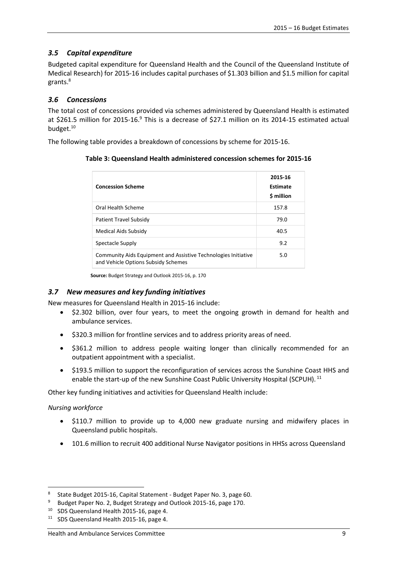#### <span id="page-8-0"></span>*3.5 Capital expenditure*

Budgeted capital expenditure for Queensland Health and the Council of the Queensland Institute of Medical Research) for 2015-16 includes capital purchases of \$1.303 billion and \$1.5 million for capital grants.<sup>8</sup>

#### <span id="page-8-1"></span>*3.6 Concessions*

The total cost of concessions provided via schemes administered by Queensland Health is estimated at \$261.5 million for 2015-16.<sup>9</sup> This is a decrease of \$27.1 million on its 2014-15 estimated actual budget. 10

The following table provides a breakdown of concessions by scheme for 2015-16.

**Table 3: Queensland Health administered concession schemes for 2015-16**

| <b>Concession Scheme</b>                                                                              | 2015-16<br>Estimate<br>\$ million |
|-------------------------------------------------------------------------------------------------------|-----------------------------------|
| Oral Health Scheme                                                                                    | 157.8                             |
| Patient Travel Subsidy                                                                                | 79.0                              |
| Medical Aids Subsidy                                                                                  | 40.5                              |
| Spectacle Supply                                                                                      | 9.2                               |
| Community Aids Equipment and Assistive Technologies Initiative<br>and Vehicle Options Subsidy Schemes | 5.0                               |

**Source:** Budget Strategy and Outlook 2015-16, p. 170

#### <span id="page-8-2"></span>*3.7 New measures and key funding initiatives*

New measures for Queensland Health in 2015-16 include:

- \$2.302 billion, over four years, to meet the ongoing growth in demand for health and ambulance services.
- $\bullet$  \$320.3 million for frontline services and to address priority areas of need.
- \$361.2 million to address people waiting longer than clinically recommended for an outpatient appointment with a specialist.
- \$193.5 million to support the reconfiguration of services across the Sunshine Coast HHS and enable the start-up of the new Sunshine Coast Public University Hospital (SCPUH).<sup>11</sup>

Other key funding initiatives and activities for Queensland Health include:

#### *Nursing workforce*

- \$110.7 million to provide up to 4,000 new graduate nursing and midwifery places in Queensland public hospitals.
- 101.6 million to recruit 400 additional Nurse Navigator positions in HHSs across Queensland

<sup>&</sup>lt;sup>8</sup> State Budget 2015-16, Capital Statement - Budget Paper No. 3, page 60.

<sup>&</sup>lt;sup>9</sup> Budget Paper No. 2, Budget Strategy and Outlook 2015-16, page 170.

<sup>&</sup>lt;sup>10</sup> SDS Queensland Health 2015-16, page 4.

<sup>&</sup>lt;sup>11</sup> SDS Queensland Health 2015-16, page 4.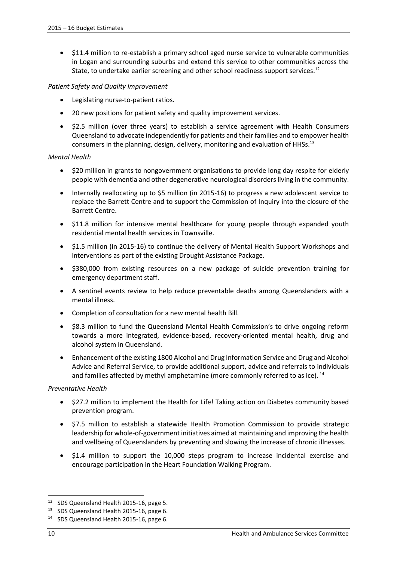\$11.4 million to re-establish a primary school aged nurse service to vulnerable communities in Logan and surrounding suburbs and extend this service to other communities across the State, to undertake earlier screening and other school readiness support services.<sup>12</sup>

#### *Patient Safety and Quality Improvement*

- Legislating nurse-to-patient ratios.
- 20 new positions for patient safety and quality improvement services.
- \$2.5 million (over three years) to establish a service agreement with Health Consumers Queensland to advocate independently for patients and their families and to empower health consumers in the planning, design, delivery, monitoring and evaluation of HHSs.<sup>13</sup>

#### *Mental Health*

- \$20 million in grants to nongovernment organisations to provide long day respite for elderly people with dementia and other degenerative neurological disorders living in the community.
- Internally reallocating up to \$5 million (in 2015-16) to progress a new adolescent service to replace the Barrett Centre and to support the Commission of Inquiry into the closure of the Barrett Centre.
- \$11.8 million for intensive mental healthcare for young people through expanded youth residential mental health services in Townsville.
- \$1.5 million (in 2015-16) to continue the delivery of Mental Health Support Workshops and interventions as part of the existing Drought Assistance Package.
- \$380,000 from existing resources on a new package of suicide prevention training for emergency department staff.
- A sentinel events review to help reduce preventable deaths among Queenslanders with a mental illness.
- Completion of consultation for a new mental health Bill.
- \$8.3 million to fund the Queensland Mental Health Commission's to drive ongoing reform towards a more integrated, evidence-based, recovery-oriented mental health, drug and alcohol system in Queensland.
- Enhancement of the existing 1800 Alcohol and Drug Information Service and Drug and Alcohol Advice and Referral Service, to provide additional support, advice and referrals to individuals and families affected by methyl amphetamine (more commonly referred to as ice).  $^{14}$

#### *Preventative Health*

- \$27.2 million to implement the Health for Life! Taking action on Diabetes community based prevention program.
- \$7.5 million to establish a statewide Health Promotion Commission to provide strategic leadership for whole-of-government initiatives aimed at maintaining and improving the health and wellbeing of Queenslanders by preventing and slowing the increase of chronic illnesses.
- \$1.4 million to support the 10,000 steps program to increase incidental exercise and encourage participation in the Heart Foundation Walking Program.

<sup>&</sup>lt;sup>12</sup> SDS Queensland Health 2015-16, page 5.

<sup>&</sup>lt;sup>13</sup> SDS Queensland Health 2015-16, page 6.

<sup>&</sup>lt;sup>14</sup> SDS Queensland Health 2015-16, page 6.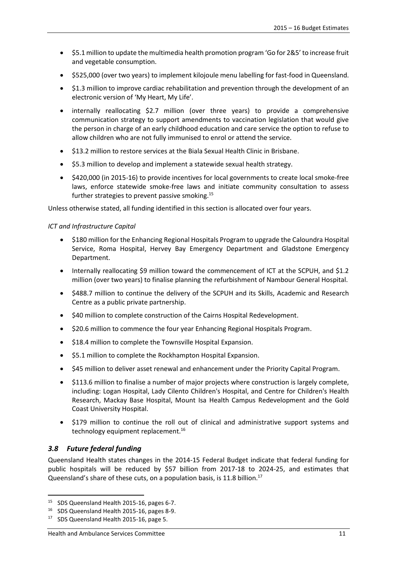- \$5.1 million to update the multimedia health promotion program 'Go for 2&5' to increase fruit and vegetable consumption.
- \$525,000 (over two years) to implement kilojoule menu labelling for fast-food in Queensland.
- \$1.3 million to improve cardiac rehabilitation and prevention through the development of an electronic version of 'My Heart, My Life'.
- internally reallocating \$2.7 million (over three years) to provide a comprehensive communication strategy to support amendments to vaccination legislation that would give the person in charge of an early childhood education and care service the option to refuse to allow children who are not fully immunised to enrol or attend the service.
- \$13.2 million to restore services at the Biala Sexual Health Clinic in Brisbane.
- \$5.3 million to develop and implement a statewide sexual health strategy.
- \$420,000 (in 2015-16) to provide incentives for local governments to create local smoke-free laws, enforce statewide smoke-free laws and initiate community consultation to assess further strategies to prevent passive smoking.<sup>15</sup>

Unless otherwise stated, all funding identified in this section is allocated over four years.

#### *ICT and Infrastructure Capital*

- \$180 million for the Enhancing Regional Hospitals Program to upgrade the Caloundra Hospital Service, Roma Hospital, Hervey Bay Emergency Department and Gladstone Emergency Department.
- Internally reallocating \$9 million toward the commencement of ICT at the SCPUH, and \$1.2 million (over two years) to finalise planning the refurbishment of Nambour General Hospital.
- \$488.7 million to continue the delivery of the SCPUH and its Skills, Academic and Research Centre as a public private partnership.
- \$40 million to complete construction of the Cairns Hospital Redevelopment.
- \$20.6 million to commence the four year Enhancing Regional Hospitals Program.
- \$18.4 million to complete the Townsville Hospital Expansion.
- $\bullet$  \$5.1 million to complete the Rockhampton Hospital Expansion.
- \$45 million to deliver asset renewal and enhancement under the Priority Capital Program.
- \$113.6 million to finalise a number of major projects where construction is largely complete, including: Logan Hospital, Lady Cilento Children's Hospital, and Centre for Children's Health Research, Mackay Base Hospital, Mount Isa Health Campus Redevelopment and the Gold Coast University Hospital.
- \$179 million to continue the roll out of clinical and administrative support systems and technology equipment replacement.<sup>16</sup>

#### <span id="page-10-0"></span>*3.8 Future federal funding*

**.** 

Queensland Health states changes in the 2014-15 Federal Budget indicate that federal funding for public hospitals will be reduced by \$57 billion from 2017-18 to 2024-25, and estimates that Queensland's share of these cuts, on a population basis, is 11.8 billion.<sup>17</sup>

<sup>&</sup>lt;sup>15</sup> SDS Queensland Health 2015-16, pages 6-7.

<sup>&</sup>lt;sup>16</sup> SDS Queensland Health 2015-16, pages 8-9.

<sup>&</sup>lt;sup>17</sup> SDS Queensland Health 2015-16, page 5.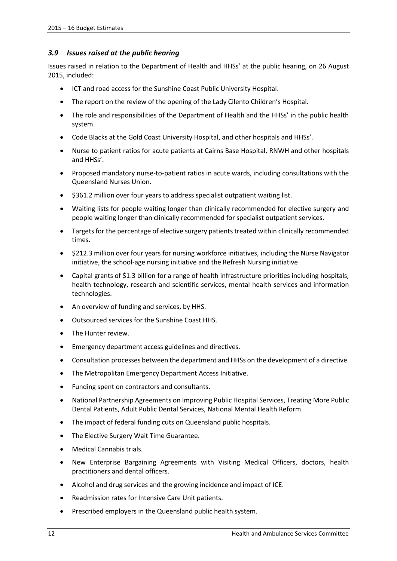#### <span id="page-11-0"></span>*3.9 Issues raised at the public hearing*

Issues raised in relation to the Department of Health and HHSs' at the public hearing, on 26 August 2015, included:

- ICT and road access for the Sunshine Coast Public University Hospital.
- The report on the review of the opening of the Lady Cilento Children's Hospital.
- The role and responsibilities of the Department of Health and the HHSs' in the public health system.
- Code Blacks at the Gold Coast University Hospital, and other hospitals and HHSs'.
- Nurse to patient ratios for acute patients at Cairns Base Hospital, RNWH and other hospitals and HHSs'.
- Proposed mandatory nurse-to-patient ratios in acute wards, including consultations with the Queensland Nurses Union.
- $\bullet$  \$361.2 million over four years to address specialist outpatient waiting list.
- Waiting lists for people waiting longer than clinically recommended for elective surgery and people waiting longer than clinically recommended for specialist outpatient services.
- Targets for the percentage of elective surgery patients treated within clinically recommended times.
- \$212.3 million over four years for nursing workforce initiatives, including the Nurse Navigator initiative, the school-age nursing initiative and the Refresh Nursing initiative
- Capital grants of \$1.3 billion for a range of health infrastructure priorities including hospitals, health technology, research and scientific services, mental health services and information technologies.
- An overview of funding and services, by HHS.
- Outsourced services for the Sunshine Coast HHS.
- The Hunter review.
- Emergency department access guidelines and directives.
- Consultation processes between the department and HHSs on the development of a directive.
- The Metropolitan Emergency Department Access Initiative.
- Funding spent on contractors and consultants.
- National Partnership Agreements on Improving Public Hospital Services, Treating More Public Dental Patients, Adult Public Dental Services, National Mental Health Reform.
- The impact of federal funding cuts on Queensland public hospitals.
- The Elective Surgery Wait Time Guarantee.
- Medical Cannabis trials.
- New Enterprise Bargaining Agreements with Visiting Medical Officers, doctors, health practitioners and dental officers.
- Alcohol and drug services and the growing incidence and impact of ICE.
- Readmission rates for Intensive Care Unit patients.
- Prescribed employers in the Queensland public health system.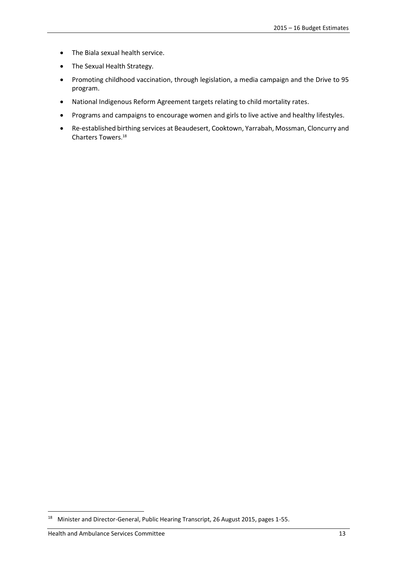- The Biala sexual health service.
- The Sexual Health Strategy.
- Promoting childhood vaccination, through legislation, a media campaign and the Drive to 95 program.
- National Indigenous Reform Agreement targets relating to child mortality rates.
- Programs and campaigns to encourage women and girls to live active and healthy lifestyles.
- Re-established birthing services at Beaudesert, Cooktown, Yarrabah, Mossman, Cloncurry and Charters Towers. 18

<sup>18</sup> Minister and Director-General, Public Hearing Transcript, 26 August 2015, pages 1-55.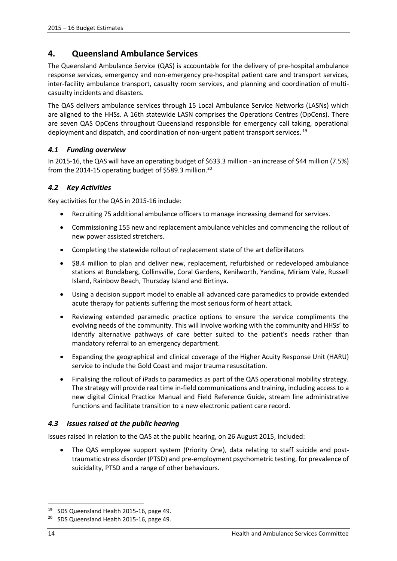# <span id="page-13-0"></span>**4. Queensland Ambulance Services**

The Queensland Ambulance Service (QAS) is accountable for the delivery of pre-hospital ambulance response services, emergency and non-emergency pre-hospital patient care and transport services, inter-facility ambulance transport, casualty room services, and planning and coordination of multicasualty incidents and disasters.

The QAS delivers ambulance services through 15 Local Ambulance Service Networks (LASNs) which are aligned to the HHSs. A 16th statewide LASN comprises the Operations Centres (OpCens). There are seven QAS OpCens throughout Queensland responsible for emergency call taking, operational deployment and dispatch, and coordination of non-urgent patient transport services.<sup>19</sup>

#### <span id="page-13-1"></span>*4.1 Funding overview*

In 2015-16, the QAS will have an operating budget of \$633.3 million - an increase of \$44 million (7.5%) from the 2014-15 operating budget of \$589.3 million.<sup>20</sup>

#### <span id="page-13-2"></span>*4.2 Key Activities*

Key activities for the QAS in 2015-16 include:

- Recruiting 75 additional ambulance officers to manage increasing demand for services.
- Commissioning 155 new and replacement ambulance vehicles and commencing the rollout of new power assisted stretchers.
- Completing the statewide rollout of replacement state of the art defibrillators
- \$8.4 million to plan and deliver new, replacement, refurbished or redeveloped ambulance stations at Bundaberg, Collinsville, Coral Gardens, Kenilworth, Yandina, Miriam Vale, Russell Island, Rainbow Beach, Thursday Island and Birtinya.
- Using a decision support model to enable all advanced care paramedics to provide extended acute therapy for patients suffering the most serious form of heart attack.
- Reviewing extended paramedic practice options to ensure the service compliments the evolving needs of the community. This will involve working with the community and HHSs' to identify alternative pathways of care better suited to the patient's needs rather than mandatory referral to an emergency department.
- Expanding the geographical and clinical coverage of the Higher Acuity Response Unit (HARU) service to include the Gold Coast and major trauma resuscitation.
- Finalising the rollout of iPads to paramedics as part of the QAS operational mobility strategy. The strategy will provide real time in-field communications and training, including access to a new digital Clinical Practice Manual and Field Reference Guide, stream line administrative functions and facilitate transition to a new electronic patient care record.

#### <span id="page-13-3"></span>*4.3 Issues raised at the public hearing*

Issues raised in relation to the QAS at the public hearing, on 26 August 2015, included:

 The QAS employee support system (Priority One), data relating to staff suicide and posttraumatic stress disorder (PTSD) and pre-employment psychometric testing, for prevalence of suicidality, PTSD and a range of other behaviours.

1

<sup>&</sup>lt;sup>19</sup> SDS Queensland Health 2015-16, page 49.

<sup>&</sup>lt;sup>20</sup> SDS Queensland Health 2015-16, page 49.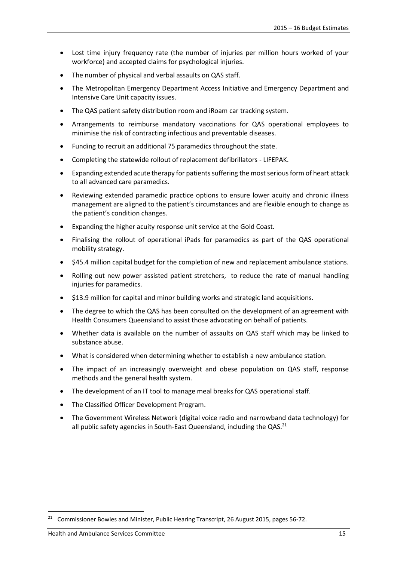- Lost time injury frequency rate (the number of injuries per million hours worked of your workforce) and accepted claims for psychological injuries.
- The number of physical and verbal assaults on QAS staff.
- The Metropolitan Emergency Department Access Initiative and Emergency Department and Intensive Care Unit capacity issues.
- The QAS patient safety distribution room and iRoam car tracking system.
- Arrangements to reimburse mandatory vaccinations for QAS operational employees to minimise the risk of contracting infectious and preventable diseases.
- Funding to recruit an additional 75 paramedics throughout the state.
- Completing the statewide rollout of replacement defibrillators LIFEPAK.
- Expanding extended acute therapy for patients suffering the most serious form of heart attack to all advanced care paramedics.
- Reviewing extended paramedic practice options to ensure lower acuity and chronic illness management are aligned to the patient's circumstances and are flexible enough to change as the patient's condition changes.
- Expanding the higher acuity response unit service at the Gold Coast.
- Finalising the rollout of operational iPads for paramedics as part of the QAS operational mobility strategy.
- \$45.4 million capital budget for the completion of new and replacement ambulance stations.
- Rolling out new power assisted patient stretchers, to reduce the rate of manual handling injuries for paramedics.
- \$13.9 million for capital and minor building works and strategic land acquisitions.
- The degree to which the QAS has been consulted on the development of an agreement with Health Consumers Queensland to assist those advocating on behalf of patients.
- Whether data is available on the number of assaults on QAS staff which may be linked to substance abuse.
- What is considered when determining whether to establish a new ambulance station.
- The impact of an increasingly overweight and obese population on QAS staff, response methods and the general health system.
- The development of an IT tool to manage meal breaks for QAS operational staff.
- The Classified Officer Development Program.
- The Government Wireless Network (digital voice radio and narrowband data technology) for all public safety agencies in South-East Queensland, including the  $QAS<sup>21</sup>$

<sup>&</sup>lt;sup>21</sup> Commissioner Bowles and Minister, Public Hearing Transcript, 26 August 2015, pages 56-72.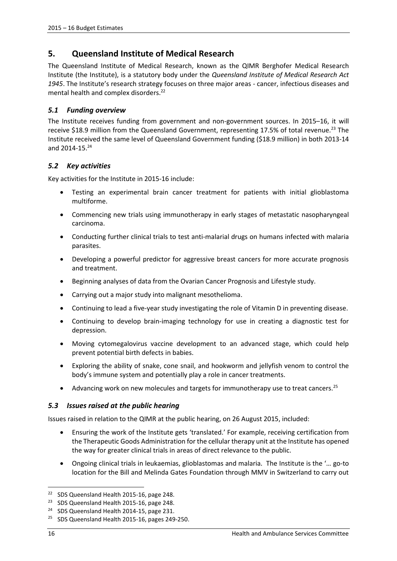# <span id="page-15-0"></span>**5. Queensland Institute of Medical Research**

The Queensland Institute of Medical Research, known as the QIMR Berghofer Medical Research Institute (the Institute), is a statutory body under the *Queensland Institute of Medical Research Act 1945*. The Institute's research strategy focuses on three major areas - cancer, infectious diseases and mental health and complex disorders.<sup>22</sup>

# <span id="page-15-1"></span>*5.1 Funding overview*

The Institute receives funding from government and non-government sources. In 2015–16, it will receive \$18.9 million from the Queensland Government, representing 17.5% of total revenue.<sup>23</sup> The Institute received the same level of Queensland Government funding (\$18.9 million) in both 2013-14 and 2014-15.<sup>24</sup>

# <span id="page-15-2"></span>*5.2 Key activities*

Key activities for the Institute in 2015-16 include:

- Testing an experimental brain cancer treatment for patients with initial glioblastoma multiforme.
- Commencing new trials using immunotherapy in early stages of metastatic nasopharyngeal carcinoma.
- Conducting further clinical trials to test anti-malarial drugs on humans infected with malaria parasites.
- Developing a powerful predictor for aggressive breast cancers for more accurate prognosis and treatment.
- **•** Beginning analyses of data from the Ovarian Cancer Prognosis and Lifestyle study.
- Carrying out a major study into malignant mesothelioma.
- Continuing to lead a five-year study investigating the role of Vitamin D in preventing disease.
- Continuing to develop brain-imaging technology for use in creating a diagnostic test for depression.
- Moving cytomegalovirus vaccine development to an advanced stage, which could help prevent potential birth defects in babies.
- Exploring the ability of snake, cone snail, and hookworm and jellyfish venom to control the body's immune system and potentially play a role in cancer treatments.
- Advancing work on new molecules and targets for immunotherapy use to treat cancers.<sup>25</sup>

# <span id="page-15-3"></span>*5.3 Issues raised at the public hearing*

Issues raised in relation to the QIMR at the public hearing, on 26 August 2015, included:

- Ensuring the work of the Institute gets 'translated.' For example, receiving certification from the Therapeutic Goods Administration for the cellular therapy unit at the Institute has opened the way for greater clinical trials in areas of direct relevance to the public.
- Ongoing clinical trials in leukaemias, glioblastomas and malaria. The Institute is the '… go-to location for the Bill and Melinda Gates Foundation through MMV in Switzerland to carry out

<sup>&</sup>lt;sup>22</sup> SDS Queensland Health 2015-16, page 248.

<sup>&</sup>lt;sup>23</sup> SDS Queensland Health 2015-16, page 248.

<sup>&</sup>lt;sup>24</sup> SDS Queensland Health 2014-15, page 231.

<sup>&</sup>lt;sup>25</sup> SDS Queensland Health 2015-16, pages 249-250.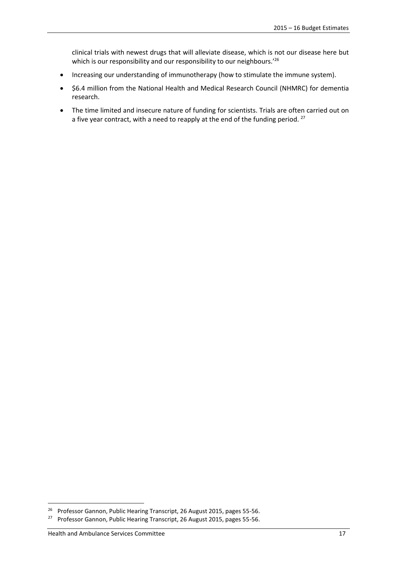clinical trials with newest drugs that will alleviate disease, which is not our disease here but which is our responsibility and our responsibility to our neighbours.<sup>'26</sup>

- Increasing our understanding of immunotherapy (how to stimulate the immune system).
- \$6.4 million from the National Health and Medical Research Council (NHMRC) for dementia research.
- The time limited and insecure nature of funding for scientists. Trials are often carried out on a five year contract, with a need to reapply at the end of the funding period.<sup>27</sup>

1

<sup>&</sup>lt;sup>26</sup> Professor Gannon, Public Hearing Transcript, 26 August 2015, pages 55-56.

<sup>&</sup>lt;sup>27</sup> Professor Gannon, Public Hearing Transcript, 26 August 2015, pages 55-56.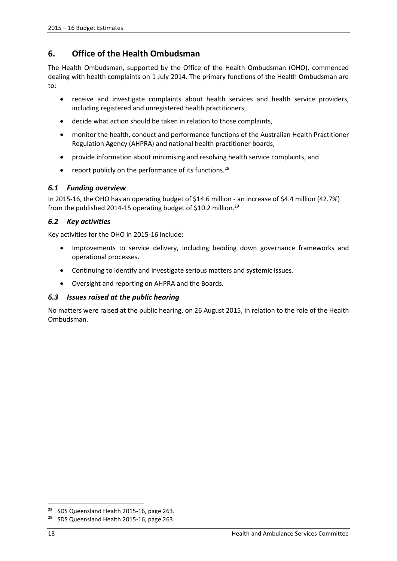# <span id="page-17-0"></span>**6. Office of the Health Ombudsman**

The Health Ombudsman, supported by the Office of the Health Ombudsman (OHO), commenced dealing with health complaints on 1 July 2014. The primary functions of the Health Ombudsman are to:

- receive and investigate complaints about health services and health service providers, including registered and unregistered health practitioners,
- decide what action should be taken in relation to those complaints,
- monitor the health, conduct and performance functions of the Australian Health Practitioner Regulation Agency (AHPRA) and national health practitioner boards,
- provide information about minimising and resolving health service complaints, and
- report publicly on the performance of its functions. $28$

#### <span id="page-17-1"></span>*6.1 Funding overview*

In 2015-16, the OHO has an operating budget of \$14.6 million - an increase of \$4.4 million (42.7%) from the published 2014-15 operating budget of \$10.2 million.<sup>29</sup>

#### <span id="page-17-2"></span>*6.2 Key activities*

Key activities for the OHO in 2015-16 include:

- Improvements to service delivery, including bedding down governance frameworks and operational processes.
- Continuing to identify and investigate serious matters and systemic issues.
- Oversight and reporting on AHPRA and the Boards.

# <span id="page-17-3"></span>*6.3 Issues raised at the public hearing*

No matters were raised at the public hearing, on 26 August 2015, in relation to the role of the Health Ombudsman.

1

<sup>&</sup>lt;sup>28</sup> SDS Queensland Health 2015-16, page 263.

<sup>&</sup>lt;sup>29</sup> SDS Queensland Health 2015-16, page 263.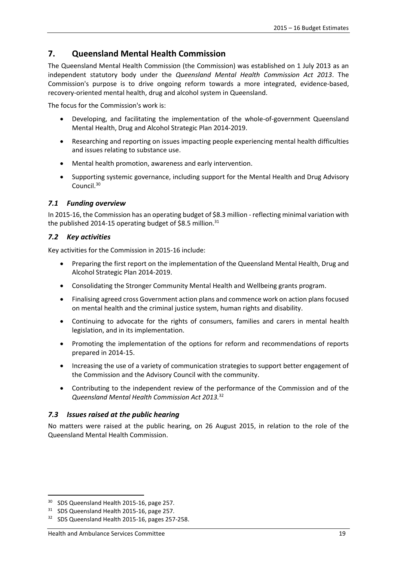# <span id="page-18-0"></span>**7. Queensland Mental Health Commission**

The Queensland Mental Health Commission (the Commission) was established on 1 July 2013 as an independent statutory body under the *Queensland Mental Health Commission Act 2013*. The Commission's purpose is to drive ongoing reform towards a more integrated, evidence-based, recovery-oriented mental health, drug and alcohol system in Queensland.

The focus for the Commission's work is:

- Developing, and facilitating the implementation of the whole-of-government Queensland Mental Health, Drug and Alcohol Strategic Plan 2014-2019.
- Researching and reporting on issues impacting people experiencing mental health difficulties and issues relating to substance use.
- Mental health promotion, awareness and early intervention.
- Supporting systemic governance, including support for the Mental Health and Drug Advisory Council.<sup>30</sup>

#### <span id="page-18-1"></span>*7.1 Funding overview*

In 2015-16, the Commission has an operating budget of \$8.3 million - reflecting minimal variation with the published 2014-15 operating budget of \$8.5 million.<sup>31</sup>

#### <span id="page-18-2"></span>*7.2 Key activities*

Key activities for the Commission in 2015-16 include:

- Preparing the first report on the implementation of the Queensland Mental Health, Drug and Alcohol Strategic Plan 2014-2019.
- Consolidating the Stronger Community Mental Health and Wellbeing grants program.
- Finalising agreed cross Government action plans and commence work on action plans focused on mental health and the criminal justice system, human rights and disability.
- Continuing to advocate for the rights of consumers, families and carers in mental health legislation, and in its implementation.
- Promoting the implementation of the options for reform and recommendations of reports prepared in 2014-15.
- Increasing the use of a variety of communication strategies to support better engagement of the Commission and the Advisory Council with the community.
- Contributing to the independent review of the performance of the Commission and of the *Queensland Mental Health Commission Act 2013.*<sup>32</sup>

#### <span id="page-18-3"></span>*7.3 Issues raised at the public hearing*

No matters were raised at the public hearing, on 26 August 2015, in relation to the role of the Queensland Mental Health Commission.

<sup>&</sup>lt;sup>30</sup> SDS Queensland Health 2015-16, page 257.

<sup>&</sup>lt;sup>31</sup> SDS Queensland Health 2015-16, page 257.

<sup>&</sup>lt;sup>32</sup> SDS Queensland Health 2015-16, pages 257-258.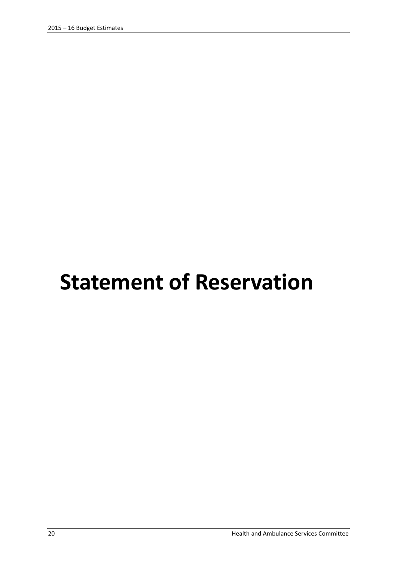# <span id="page-19-0"></span>**Statement of Reservation**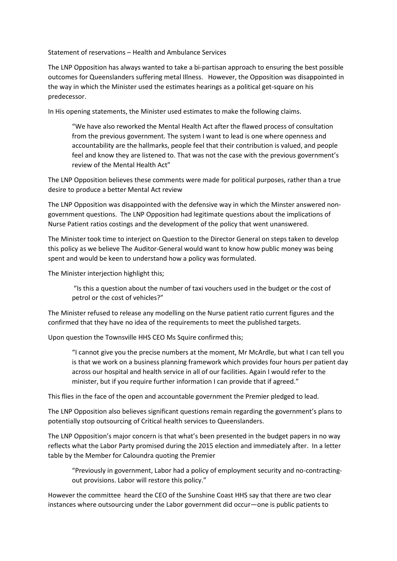Statement of reservations – Health and Ambulance Services

The LNP Opposition has always wanted to take a bi-partisan approach to ensuring the best possible outcomes for Queenslanders suffering metal Illness. However, the Opposition was disappointed in the way in which the Minister used the estimates hearings as a political get-square on his predecessor.

In His opening statements, the Minister used estimates to make the following claims.

"We have also reworked the Mental Health Act after the flawed process of consultation from the previous government. The system I want to lead is one where openness and accountability are the hallmarks, people feel that their contribution is valued, and people feel and know they are listened to. That was not the case with the previous government's review of the Mental Health Act"

The LNP Opposition believes these comments were made for political purposes, rather than a true desire to produce a better Mental Act review

The LNP Opposition was disappointed with the defensive way in which the Minster answered nongovernment questions. The LNP Opposition had legitimate questions about the implications of Nurse Patient ratios costings and the development of the policy that went unanswered.

The Minister took time to interject on Question to the Director General on steps taken to develop this policy as we believe The Auditor-General would want to know how public money was being spent and would be keen to understand how a policy was formulated.

The Minister interjection highlight this;

"Is this a question about the number of taxi vouchers used in the budget or the cost of petrol or the cost of vehicles?"

The Minister refused to release any modelling on the Nurse patient ratio current figures and the confirmed that they have no idea of the requirements to meet the published targets.

Upon question the Townsville HHS CEO Ms Squire confirmed this;

"I cannot give you the precise numbers at the moment, Mr McArdle, but what I can tell you is that we work on a business planning framework which provides four hours per patient day across our hospital and health service in all of our facilities. Again I would refer to the minister, but if you require further information I can provide that if agreed."

This flies in the face of the open and accountable government the Premier pledged to lead.

The LNP Opposition also believes significant questions remain regarding the government's plans to potentially stop outsourcing of Critical health services to Queenslanders.

The LNP Opposition's major concern is that what's been presented in the budget papers in no way reflects what the Labor Party promised during the 2015 election and immediately after. In a letter table by the Member for Caloundra quoting the Premier

"Previously in government, Labor had a policy of employment security and no-contractingout provisions. Labor will restore this policy."

However the committee heard the CEO of the Sunshine Coast HHS say that there are two clear instances where outsourcing under the Labor government did occur—one is public patients to